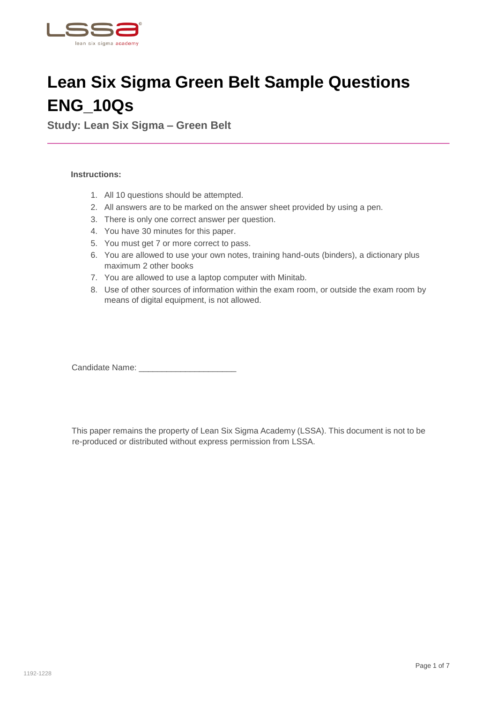

## **Lean Six Sigma Green Belt Sample Questions ENG\_10Qs**

**Study: Lean Six Sigma – Green Belt**

## **Instructions:**

- 1. All 10 questions should be attempted.
- 2. All answers are to be marked on the answer sheet provided by using a pen.
- 3. There is only one correct answer per question.
- 4. You have 30 minutes for this paper.
- 5. You must get 7 or more correct to pass.
- 6. You are allowed to use your own notes, training hand-outs (binders), a dictionary plus maximum 2 other books
- 7. You are allowed to use a laptop computer with Minitab.
- 8. Use of other sources of information within the exam room, or outside the exam room by means of digital equipment, is not allowed.

Candidate Name: \_\_\_\_\_\_\_\_\_\_\_\_\_\_\_\_\_\_\_\_\_

This paper remains the property of Lean Six Sigma Academy (LSSA). This document is not to be re-produced or distributed without express permission from LSSA.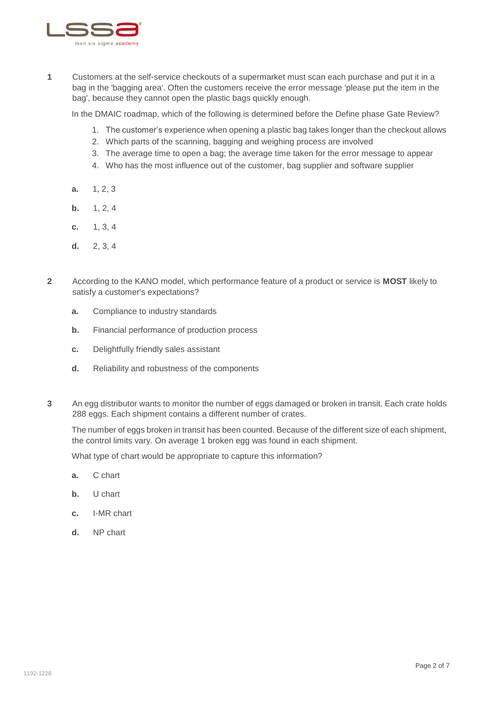

**1** Customers at the self-service checkouts of a supermarket must scan each purchase and put it in a bag in the 'bagging area'. Often the customers receive the error message 'please put the item in the bag', because they cannot open the plastic bags quickly enough.

In the DMAIC roadmap, which of the following is determined before the Define phase Gate Review?

- 1. The customer's experience when opening a plastic bag takes longer than the checkout allows
- 2. Which parts of the scanning, bagging and weighing process are involved
- 3. The average time to open a bag; the average time taken for the error message to appear
- 4. Who has the most influence out of the customer, bag supplier and software supplier
- **a.** 1, 2, 3
- **b.** 1, 2, 4
- **c.** 1, 3, 4
- **d.** 2, 3, 4
- **2** According to the KANO model, which performance feature of a product or service is **MOST** likely to satisfy a customer's expectations?
	- **a.** Compliance to industry standards
	- **b.** Financial performance of production process
	- **c.** Delightfully friendly sales assistant
	- **d.** Reliability and robustness of the components
- **3** An egg distributor wants to monitor the number of eggs damaged or broken in transit. Each crate holds 288 eggs. Each shipment contains a different number of crates.

The number of eggs broken in transit has been counted. Because of the different size of each shipment, the control limits vary. On average 1 broken egg was found in each shipment.

What type of chart would be appropriate to capture this information?

- **a.** C chart
- **b.** U chart
- **c.** I-MR chart
- **d.** NP chart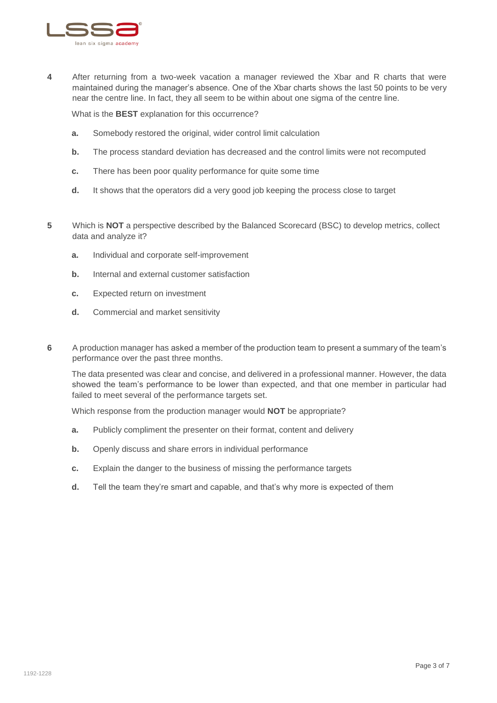

**4** After returning from a two-week vacation a manager reviewed the Xbar and R charts that were maintained during the manager's absence. One of the Xbar charts shows the last 50 points to be very near the centre line. In fact, they all seem to be within about one sigma of the centre line.

What is the **BEST** explanation for this occurrence?

- **a.** Somebody restored the original, wider control limit calculation
- **b.** The process standard deviation has decreased and the control limits were not recomputed
- **c.** There has been poor quality performance for quite some time
- **d.** It shows that the operators did a very good job keeping the process close to target
- **5** Which is **NOT** a perspective described by the Balanced Scorecard (BSC) to develop metrics, collect data and analyze it?
	- **a.** Individual and corporate self-improvement
	- **b.** Internal and external customer satisfaction
	- **c.** Expected return on investment
	- **d.** Commercial and market sensitivity
- **6** A production manager has asked a member of the production team to present a summary of the team's performance over the past three months.

The data presented was clear and concise, and delivered in a professional manner. However, the data showed the team's performance to be lower than expected, and that one member in particular had failed to meet several of the performance targets set.

Which response from the production manager would **NOT** be appropriate?

- **a.** Publicly compliment the presenter on their format, content and delivery
- **b.** Openly discuss and share errors in individual performance
- **c.** Explain the danger to the business of missing the performance targets
- **d.** Tell the team they're smart and capable, and that's why more is expected of them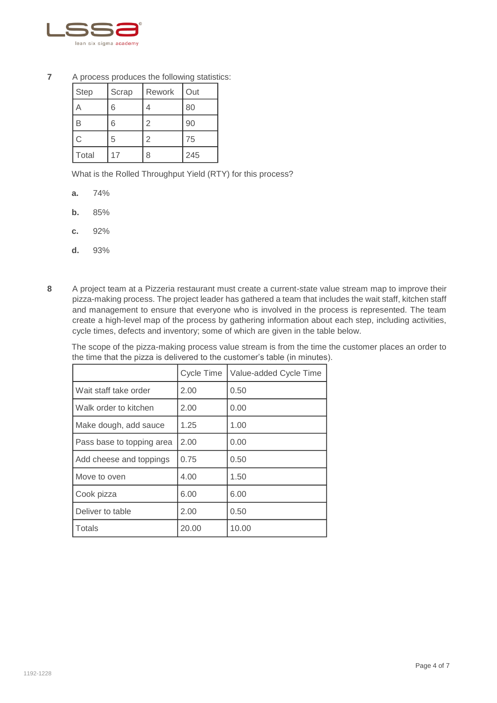

| <b>Step</b> | Scrap | Rework         | Out |
|-------------|-------|----------------|-----|
|             | 6     |                | 80  |
| Β           | 6     | 2              | 90  |
| С           | 5     | $\overline{2}$ | 75  |
| Total       | 17    | 8              | 245 |

**7** A process produces the following statistics:

What is the Rolled Throughput Yield (RTY) for this process?

- **a.** 74%
- **b.** 85%
- **c.** 92%
- **d.** 93%
- **8** A project team at a Pizzeria restaurant must create a current-state value stream map to improve their pizza-making process. The project leader has gathered a team that includes the wait staff, kitchen staff and management to ensure that everyone who is involved in the process is represented. The team create a high-level map of the process by gathering information about each step, including activities, cycle times, defects and inventory; some of which are given in the table below.

The scope of the pizza-making process value stream is from the time the customer places an order to the time that the pizza is delivered to the customer's table (in minutes).

|                           | Cycle Time | Value-added Cycle Time |
|---------------------------|------------|------------------------|
| Wait staff take order     | 2.00       | 0.50                   |
| Walk order to kitchen     | 2.00       | 0.00                   |
| Make dough, add sauce     | 1.25       | 1.00                   |
| Pass base to topping area | 2.00       | 0.00                   |
| Add cheese and toppings   | 0.75       | 0.50                   |
| Move to oven              | 4.00       | 1.50                   |
| Cook pizza                | 6.00       | 6.00                   |
| Deliver to table          | 2.00       | 0.50                   |
| <b>Totals</b>             | 20.00      | 10.00                  |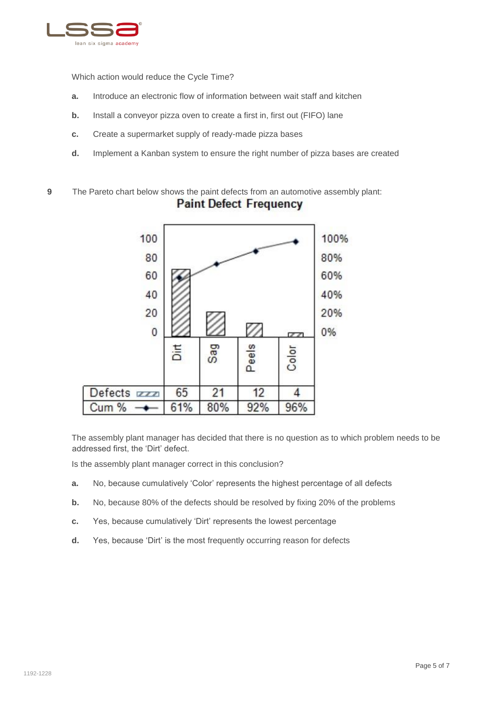

Which action would reduce the Cycle Time?

- **a.** Introduce an electronic flow of information between wait staff and kitchen
- **b.** Install a conveyor pizza oven to create a first in, first out (FIFO) lane
- **c.** Create a supermarket supply of ready-made pizza bases
- **d.** Implement a Kanban system to ensure the right number of pizza bases are created
- **9** The Pareto chart below shows the paint defects from an automotive assembly plant: **Paint Defect Frequency**



The assembly plant manager has decided that there is no question as to which problem needs to be addressed first, the 'Dirt' defect.

Is the assembly plant manager correct in this conclusion?

- **a.** No, because cumulatively 'Color' represents the highest percentage of all defects
- **b.** No, because 80% of the defects should be resolved by fixing 20% of the problems
- **c.** Yes, because cumulatively 'Dirt' represents the lowest percentage
- **d.** Yes, because 'Dirt' is the most frequently occurring reason for defects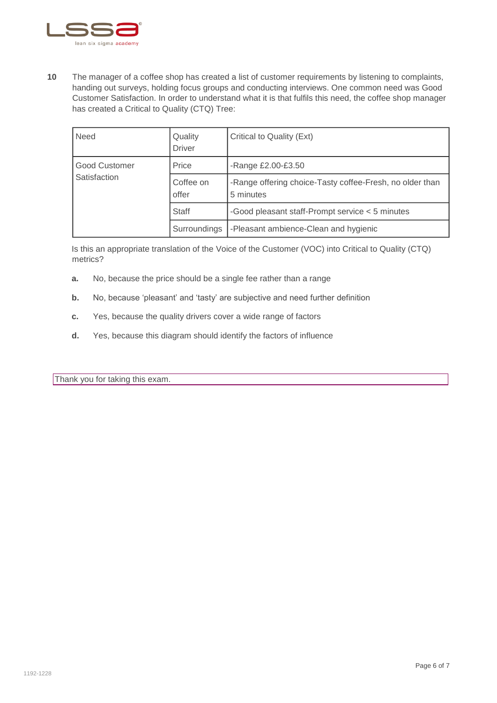

**10** The manager of a coffee shop has created a list of customer requirements by listening to complaints, handing out surveys, holding focus groups and conducting interviews. One common need was Good Customer Satisfaction. In order to understand what it is that fulfils this need, the coffee shop manager has created a Critical to Quality (CTQ) Tree:

| Need                                 | Quality<br><b>Driver</b> | Critical to Quality (Ext)                                             |
|--------------------------------------|--------------------------|-----------------------------------------------------------------------|
| <b>Good Customer</b><br>Satisfaction | Price                    | -Range £2.00-£3.50                                                    |
|                                      | Coffee on<br>offer       | -Range offering choice-Tasty coffee-Fresh, no older than<br>5 minutes |
|                                      | Staff                    | -Good pleasant staff-Prompt service < 5 minutes                       |
|                                      | Surroundings             | -Pleasant ambience-Clean and hygienic                                 |

Is this an appropriate translation of the Voice of the Customer (VOC) into Critical to Quality (CTQ) metrics?

- **a.** No, because the price should be a single fee rather than a range
- **b.** No, because 'pleasant' and 'tasty' are subjective and need further definition
- **c.** Yes, because the quality drivers cover a wide range of factors
- **d.** Yes, because this diagram should identify the factors of influence

Thank you for taking this exam.